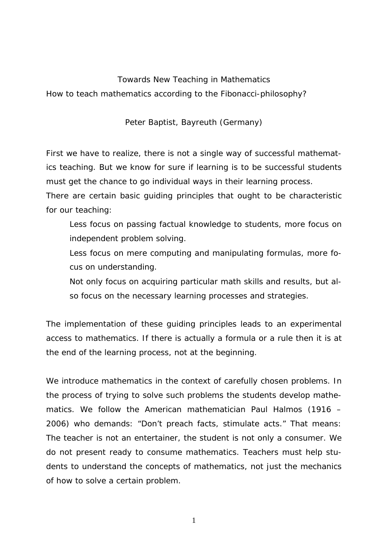## Towards New Teaching in Mathematics

How to teach mathematics according to the Fibonacci-philosophy?

Peter Baptist, Bayreuth (Germany)

First we have to realize, there is not a single way of successful mathematics teaching. But we know for sure if learning is to be successful students must get the chance to go individual ways in their learning process.

There are certain basic guiding principles that ought to be characteristic for our teaching:

 Less focus on passing factual knowledge to students, more focus on independent problem solving.

 Less focus on mere computing and manipulating formulas, more focus on understanding.

 Not only focus on acquiring particular math skills and results, but also focus on the necessary learning processes and strategies.

The implementation of these guiding principles leads to an *experimental access* to mathematics. If there is actually a formula or a rule then it is at the end of the learning process, not at the beginning.

We introduce mathematics in the context of carefully chosen problems. In the process of trying to solve such problems the students develop mathematics. We follow the American mathematician Paul Halmos (1916 – 2006) who demands: "Don't preach facts, stimulate acts." That means: The teacher is not an entertainer, the student is not only a consumer. We do not present ready to consume mathematics. Teachers must help students to understand the concepts of mathematics, not just the mechanics of how to solve a certain problem.

1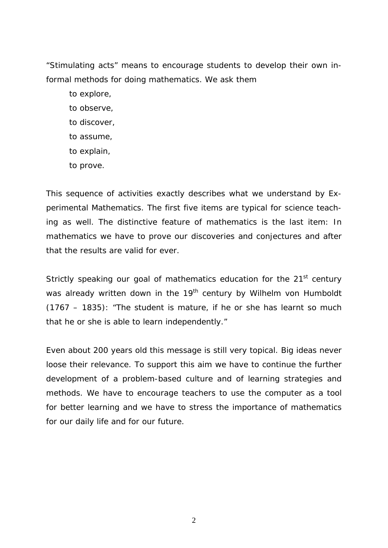"Stimulating acts" means to encourage students to develop their own informal methods for doing mathematics. We ask them

 to explore, to observe, to discover, to assume, to explain, to prove.

This sequence of activities exactly describes what we understand by *Experimental Mathematics*. The first five items are typical for science teaching as well. The distinctive feature of mathematics is the last item: In mathematics we have to prove our discoveries and conjectures and after that the results are valid for ever.

Strictly speaking our goal of mathematics education for the 21<sup>st</sup> century was already written down in the 19<sup>th</sup> century by Wilhelm von Humboldt (1767 – 1835): "The student is mature, if he or she has learnt so much that he or she is able to learn independently."

Even about 200 years old this message is still very topical. Big ideas never loose their relevance. To support this aim we have to continue the further development of a problem-based culture and of learning strategies and methods. We have to encourage teachers to use the computer as a tool for better learning and we have to stress the importance of mathematics for our daily life and for our future.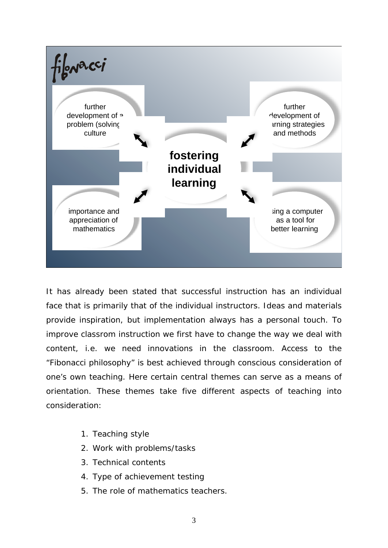

It has already been stated that successful instruction has an individual face that is primarily that of the individual instructors. Ideas and materials provide inspiration, but implementation always has a personal touch. To improve classrom instruction we first have to change the way we deal with content, i.e. we need innovations in the classroom. Access to the "Fibonacci philosophy" is best achieved through conscious consideration of one's own teaching. Here certain central themes can serve as a means of orientation. These themes take five different aspects of teaching into consideration:

- 1. Teaching style
- 2. Work with problems/tasks
- 3. Technical contents
- 4. Type of achievement testing
- 5. The role of mathematics teachers.